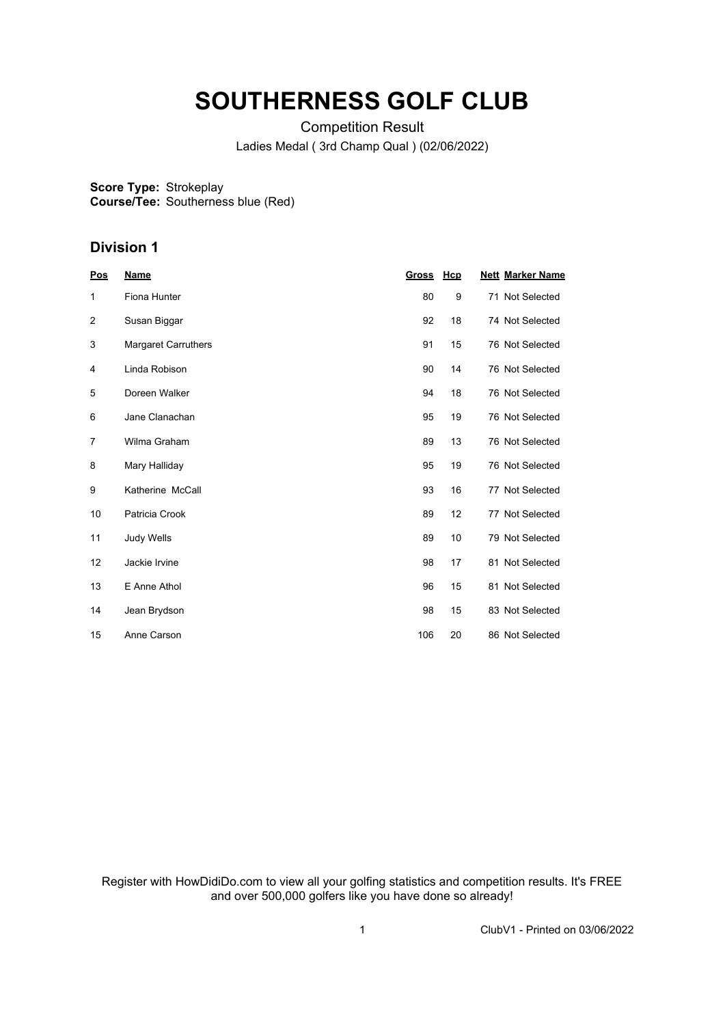## **SOUTHERNESS GOLF CLUB**

Competition Result Ladies Medal ( 3rd Champ Qual ) (02/06/2022)

**Score Type: Course/Tee:** Strokeplay Southerness blue (Red)

## **Division 1**

| <b>Pos</b>     | <b>Name</b>                | <b>Gross</b> | <b>Hcp</b> | <b>Nett Marker Name</b> |
|----------------|----------------------------|--------------|------------|-------------------------|
| 1              | Fiona Hunter               | 80           | 9          | 71 Not Selected         |
| $\overline{2}$ | Susan Biggar               | 92           | 18         | 74 Not Selected         |
| 3              | <b>Margaret Carruthers</b> | 91           | 15         | 76 Not Selected         |
| 4              | Linda Robison              | 90           | 14         | 76 Not Selected         |
| 5              | Doreen Walker              | 94           | 18         | 76 Not Selected         |
| 6              | Jane Clanachan             | 95           | 19         | 76 Not Selected         |
| $\overline{7}$ | Wilma Graham               | 89           | 13         | 76 Not Selected         |
| 8              | Mary Halliday              | 95           | 19         | 76 Not Selected         |
| 9              | Katherine McCall           | 93           | 16         | 77 Not Selected         |
| 10             | Patricia Crook             | 89           | 12         | 77 Not Selected         |
| 11             | Judy Wells                 | 89           | 10         | 79 Not Selected         |
| 12             | Jackie Irvine              | 98           | 17         | 81 Not Selected         |
| 13             | E Anne Athol               | 96           | 15         | 81 Not Selected         |
| 14             | Jean Brydson               | 98           | 15         | 83 Not Selected         |
| 15             | Anne Carson                | 106          | 20         | 86 Not Selected         |

Register with HowDidiDo.com to view all your golfing statistics and competition results. It's FREE and over 500,000 golfers like you have done so already!